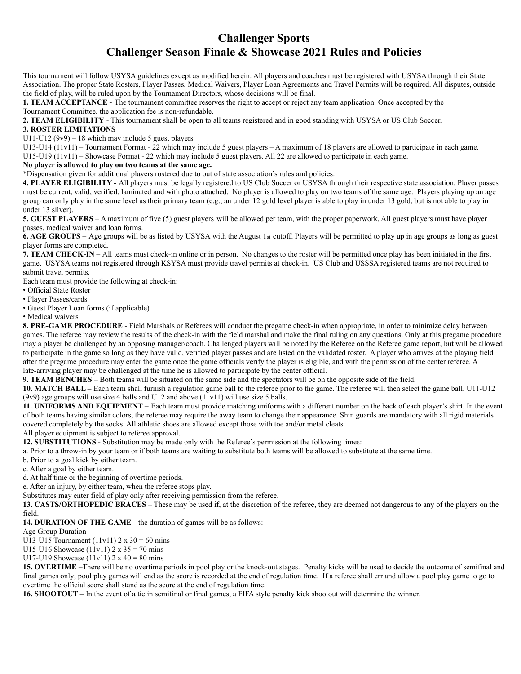## **Challenger Sports Challenger Season Finale & Showcase 2021 Rules and Policies**

This tournament will follow USYSA guidelines except as modified herein. All players and coaches must be registered with USYSA through their State Association. The proper State Rosters, Player Passes, Medical Waivers, Player Loan Agreements and Travel Permits will be required. All disputes, outside the field of play, will be ruled upon by the Tournament Directors, whose decisions will be final.

**1. TEAM ACCEPTANCE -** The tournament committee reserves the right to accept or reject any team application. Once accepted by the Tournament Committee, the application fee is non-refundable.

**2. TEAM ELIGIBILITY** - This tournament shall be open to all teams registered and in good standing with USYSA or US Club Soccer.

## **3. ROSTER LIMITATIONS**

U11-U12 ( $9v9$ ) – 18 which may include 5 guest players

U13-U14 (11v11) – Tournament Format - 22 which may include 5 guest players – A maximum of 18 players are allowed to participate in each game.

U15-U19 (11v11) – Showcase Format - 22 which may include 5 guest players. All 22 are allowed to participate in each game.

## **No player is allowed to play on two teams at the same age.**

\*Dispensation given for additional players rostered due to out of state association's rules and policies.

**4. PLAYER ELIGIBILITY -** All players must be legally registered to US Club Soccer or USYSA through their respective state association. Player passes must be current, valid, verified, laminated and with photo attached. No player is allowed to play on two teams of the same age. Players playing up an age group can only play in the same level as their primary team (e.g., an under 12 gold level player is able to play in under 13 gold, but is not able to play in under 13 silver).

**5. GUEST PLAYERS** – A maximum of five (5) guest players will be allowed per team, with the proper paperwork. All guest players must have player passes, medical waiver and loan forms.

**6. AGE GROUPS –** Age groups will be as listed by USYSA with the August 1st cutoff. Players will be permitted to play up in age groups as long as guest player forms are completed.

**7. TEAM CHECK-IN –** All teams must check-in online or in person. No changes to the roster will be permitted once play has been initiated in the first game. USYSA teams not registered through KSYSA must provide travel permits at check-in. US Club and USSSA registered teams are not required to submit travel permits.

Each team must provide the following at check-in:

• Official State Roster

- Player Passes/cards
- Guest Player Loan forms (if applicable)

• Medical waivers

**8. PRE-GAME PROCEDURE** - Field Marshals or Referees will conduct the pregame check-in when appropriate, in order to minimize delay between games. The referee may review the results of the check-in with the field marshal and make the final ruling on any questions. Only at this pregame procedure may a player be challenged by an opposing manager/coach. Challenged players will be noted by the Referee on the Referee game report, but will be allowed to participate in the game so long as they have valid, verified player passes and are listed on the validated roster. A player who arrives at the playing field after the pregame procedure may enter the game once the game officials verify the player is eligible, and with the permission of the center referee. A late-arriving player may be challenged at the time he is allowed to participate by the center official.

**9. TEAM BENCHES** – Both teams will be situated on the same side and the spectators will be on the opposite side of the field.

**10. MATCH BALL –** Each team shall furnish a regulation game ball to the referee prior to the game. The referee will then select the game ball. U11-U12 (9v9) age groups will use size 4 balls and U12 and above  $(11v11)$  will use size 5 balls.

**11. UNIFORMS AND EQUIPMENT –** Each team must provide matching uniforms with a different number on the back of each player's shirt. In the event of both teams having similar colors, the referee may require the away team to change their appearance. Shin guards are mandatory with all rigid materials covered completely by the socks. All athletic shoes are allowed except those with toe and/or metal cleats.

All player equipment is subject to referee approval.

**12. SUBSTITUTIONS** - Substitution may be made only with the Referee's permission at the following times:

a. Prior to a throw-in by your team or if both teams are waiting to substitute both teams will be allowed to substitute at the same time.

b. Prior to a goal kick by either team.

c. After a goal by either team.

d. At half time or the beginning of overtime periods.

e. After an injury, by either team, when the referee stops play.

Substitutes may enter field of play only after receiving permission from the referee.

**13. CASTS/ORTHOPEDIC BRACES** – These may be used if, at the discretion of the referee, they are deemed not dangerous to any of the players on the field.

**14. DURATION OF THE GAME** - the duration of games will be as follows:

Age Group Duration

U13-U15 Tournament (11v11)  $2 \times 30 = 60$  mins

U15-U16 Showcase  $(11v11)$  2 x 35 = 70 mins

U17-U19 Showcase  $(11v11)$  2 x 40 = 80 mins

**15. OVERTIME –**There will be no overtime periods in pool play or the knock-out stages. Penalty kicks will be used to decide the outcome of semifinal and final games only; pool play games will end as the score is recorded at the end of regulation time. If a referee shall err and allow a pool play game to go to overtime the official score shall stand as the score at the end of regulation time.

**16. SHOOTOUT –** In the event of a tie in semifinal or final games, a FIFA style penalty kick shootout will determine the winner.